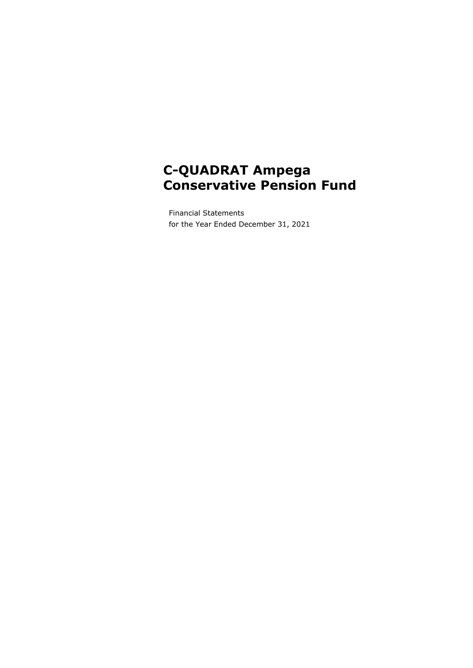# **C-QUADRAT Ampega Conservative Pension Fund**

Financial Statements for the Year Ended December 31, 2021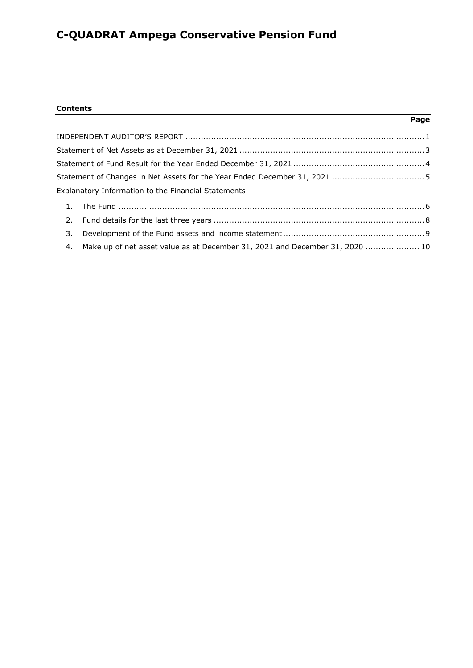# **C-QUADRAT Ampega Conservative Pension Fund**

#### **Contents**

#### **Page**

| Explanatory Information to the Financial Statements                             |  |
|---------------------------------------------------------------------------------|--|
|                                                                                 |  |
|                                                                                 |  |
|                                                                                 |  |
| 4. Make up of net asset value as at December 31, 2021 and December 31, 2020  10 |  |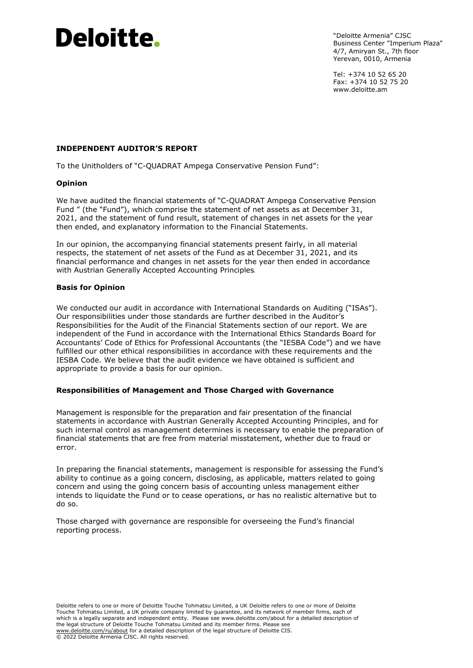# Deloitte.

"Deloitte Armenia" CJSC Business Center "Imperium Plaza" 4/7, Amiryan St., 7th floor Yerevan, 0010, Armenia

 $Tel: +374 10 52 65 20$ Fax: +374 10 52 75 20 www.deloitte.am

#### <span id="page-2-0"></span>**INDEPENDENT AUDITOR'S REPORT**

To the Unitholders of "C-QUADRAT Ampega Conservative Pension Fund":

#### **Opinion**

We have audited the financial statements of "C-QUADRAT Ampega Conservative Pension Fund " (the "Fund"), which comprise the statement of net assets as at December 31, 2021, and the statement of fund result, statement of changes in net assets for the year then ended, and explanatory information to the Financial Statements.

In our opinion, the accompanying financial statements present fairly, in all material respects, the statement of net assets of the Fund as at December 31, 2021, and its financial performance and changes in net assets for the year then ended in accordance with Austrian Generally Accepted Accounting Principles․

#### **Basis for Opinion**

We conducted our audit in accordance with International Standards on Auditing ("ISAs"). Our responsibilities under those standards are further described in the Auditor's Responsibilities for the Audit of the Financial Statements section of our report. We are independent of the Fund in accordance with the International Ethics Standards Board for Accountants' Code of Ethics for Professional Accountants (the "IESBA Code") and we have fulfilled our other ethical responsibilities in accordance with these requirements and the IESBA Code. We believe that the audit evidence we have obtained is sufficient and appropriate to provide a basis for our opinion.

#### **Responsibilities of Management and Those Charged with Governance**

Management is responsible for the preparation and fair presentation of the financial statements in accordance with Austrian Generally Accepted Accounting Principles, and for such internal control as management determines is necessary to enable the preparation of financial statements that are free from material misstatement, whether due to fraud or error.

In preparing the financial statements, management is responsible for assessing the Fund's ability to continue as a going concern, disclosing, as applicable, matters related to going concern and using the going concern basis of accounting unless management either intends to liquidate the Fund or to cease operations, or has no realistic alternative but to do so.

Those charged with governance are responsible for overseeing the Fund's financial reporting process.

Deloitte refers to one or more of Deloitte Touche Tohmatsu Limited, a UK Deloitte refers to one or more of Deloitte Touche Tohmatsu Limited, a UK private company limited by guarantee, and its network of member firms, each of which is a legally separate and independent entity. Please see www.deloitte.com/about for a detailed description of the legal structure of Deloitte Touche Tohmatsu Limited and its member firms. Please see www.deloitte.com/ru/about for a detailed description of the legal structure of Deloitte CIS. © 2022 Deloitte Armenia CJSC. All rights reserved.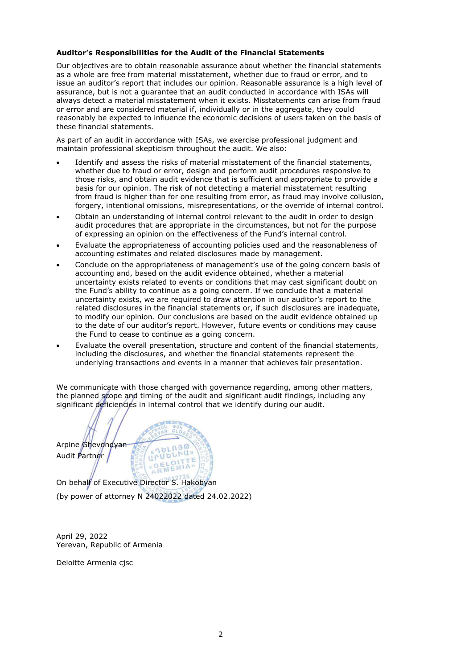#### **Auditor's Responsibilities for the Audit of the Financial Statements**

Our objectives are to obtain reasonable assurance about whether the financial statements as a whole are free from material misstatement, whether due to fraud or error, and to issue an auditor's report that includes our opinion. Reasonable assurance is a high level of assurance, but is not a guarantee that an audit conducted in accordance with ISAs will always detect a material misstatement when it exists. Misstatements can arise from fraud or error and are considered material if, individually or in the aggregate, they could reasonably be expected to influence the economic decisions of users taken on the basis of these financial statements.

As part of an audit in accordance with ISAs, we exercise professional judgment and maintain professional skepticism throughout the audit. We also:

- Identify and assess the risks of material misstatement of the financial statements, whether due to fraud or error, design and perform audit procedures responsive to those risks, and obtain audit evidence that is sufficient and appropriate to provide a basis for our opinion. The risk of not detecting a material misstatement resulting from fraud is higher than for one resulting from error, as fraud may involve collusion, forgery, intentional omissions, misrepresentations, or the override of internal control.
- Obtain an understanding of internal control relevant to the audit in order to design audit procedures that are appropriate in the circumstances, but not for the purpose of expressing an opinion on the effectiveness of the Fund's internal control.
- Evaluate the appropriateness of accounting policies used and the reasonableness of accounting estimates and related disclosures made by management.
- Conclude on the appropriateness of management's use of the going concern basis of accounting and, based on the audit evidence obtained, whether a material uncertainty exists related to events or conditions that may cast significant doubt on the Fund's ability to continue as a going concern. If we conclude that a material uncertainty exists, we are required to draw attention in our auditor's report to the related disclosures in the financial statements or, if such disclosures are inadequate, to modify our opinion. Our conclusions are based on the audit evidence obtained up to the date of our auditor's report. However, future events or conditions may cause the Fund to cease to continue as a going concern.
- Evaluate the overall presentation, structure and content of the financial statements, including the disclosures, and whether the financial statements represent the underlying transactions and events in a manner that achieves fair presentation.

We communicate with those charged with governance regarding, among other matters, the planned scope and timing of the audit and significant audit findings, including any significant deficiencies in internal control that we identify during our audit.

Arpine Ghevondyan Audit Partner

On behalf of Executive Director S. Hakobyan (by power of attorney N 24022022 dated 24.02.2022)

April 29, 2022 Yerevan, Republic of Armenia

Deloitte Armenia cjsc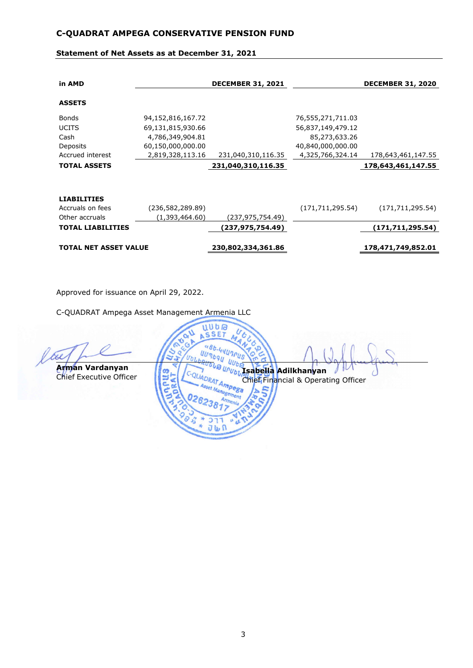#### <span id="page-4-0"></span>**Statement of Net Assets as at December 31, 2021**

| in AMD                       |                    | <b>DECEMBER 31, 2021</b> |                    | <b>DECEMBER 31, 2020</b> |
|------------------------------|--------------------|--------------------------|--------------------|--------------------------|
| <b>ASSETS</b>                |                    |                          |                    |                          |
| Bonds                        | 94,152,816,167.72  |                          | 76,555,271,711.03  |                          |
| <b>UCITS</b>                 | 69,131,815,930.66  |                          | 56,837,149,479.12  |                          |
| Cash                         | 4,786,349,904.81   |                          | 85,273,633.26      |                          |
| Deposits                     | 60,150,000,000.00  |                          | 40,840,000,000.00  |                          |
| Accrued interest             | 2,819,328,113.16   | 231,040,310,116.35       | 4,325,766,324.14   | 178,643,461,147.55       |
| <b>TOTAL ASSETS</b>          |                    | 231,040,310,116.35       |                    | 178,643,461,147.55       |
|                              |                    |                          |                    |                          |
| <b>LIABILITIES</b>           |                    |                          |                    |                          |
| Accruals on fees             | (236, 582, 289.89) |                          | (171, 711, 295.54) | (171, 711, 295.54)       |
| Other accruals               | (1,393,464.60)     | (237,975,754.49)         |                    |                          |
| <b>TOTAL LIABILITIES</b>     |                    | (237,975,754.49)         |                    | (171, 711, 295.54)       |
| <b>TOTAL NET ASSET VALUE</b> |                    | 230,802,334,361.86       |                    | 178,471,749,852.01       |

Approved for issuance on April 29, 2022.

C-QUADRAT Ampega Asset Management Armenia LLC

**Arman Vardanyan**

Chief Executive Officer

**UULA** A "86-4447 UUTO UNIV-OST pus **Isabella Adilkhanyan** RAT Chief Financial & Operating Officer F ε  $51$ コレハ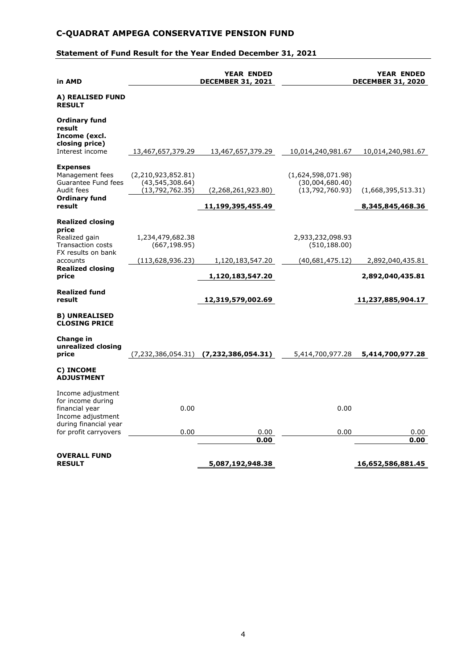# <span id="page-5-0"></span>**Statement of Fund Result for the Year Ended December 31, 2021**

| in AMD                                                                                                                                              |                                                              | <b>YEAR ENDED</b><br><b>DECEMBER 31, 2021</b>  |                                                      | <b>YEAR ENDED</b><br><b>DECEMBER 31, 2020</b>              |
|-----------------------------------------------------------------------------------------------------------------------------------------------------|--------------------------------------------------------------|------------------------------------------------|------------------------------------------------------|------------------------------------------------------------|
| A) REALISED FUND<br><b>RESULT</b>                                                                                                                   |                                                              |                                                |                                                      |                                                            |
| <b>Ordinary fund</b><br>result<br>Income (excl.<br>closing price)<br>Interest income                                                                | 13,467,657,379.29                                            | 13,467,657,379.29                              | 10,014,240,981.67                                    | 10,014,240,981.67                                          |
| <b>Expenses</b><br>Management fees<br>Guarantee Fund fees<br>Audit fees<br><b>Ordinary fund</b><br>result                                           | (2,210,923,852.81)<br>(43, 545, 308.64)<br>(13, 792, 762.35) | (2,268,261,923.80)<br><u>11,199,395,455.49</u> | (1,624,598,071.98)<br>(30,004,680.40)                | $(13,792,760.93)$ $(1,668,395,513.31)$<br>8,345,845,468.36 |
| <b>Realized closing</b><br>price<br>Realized gain<br><b>Transaction costs</b><br>FX results on bank<br>accounts<br><b>Realized closing</b><br>price | 1,234,479,682.38<br>(667, 198.95)<br>(113,628,936.23)        | 1,120,183,547.20                               | 2,933,232,098.93<br>(510, 188.00)<br>(40,681,475.12) | 2,892,040,435.81<br>2,892,040,435.81                       |
| <b>Realized fund</b><br>result                                                                                                                      |                                                              | 1,120,183,547.20<br>12,319,579,002.69          |                                                      | 11,237,885,904.17                                          |
| <b>B) UNREALISED</b><br><b>CLOSING PRICE</b>                                                                                                        |                                                              |                                                |                                                      |                                                            |
| Change in<br>unrealized closing<br>price                                                                                                            |                                                              | $(7,232,386,054.31)$ $(7,232,386,054.31)$      | 5,414,700,977.28                                     | 5,414,700,977.28                                           |
| C) INCOME<br><b>ADJUSTMENT</b>                                                                                                                      |                                                              |                                                |                                                      |                                                            |
| Income adjustment<br>for income during<br>financial year<br>Income adjustment<br>during financial year<br>for profit carryovers                     | 0.00<br>0.00                                                 | 0.00                                           | 0.00<br>0.00                                         | 0.00                                                       |
|                                                                                                                                                     |                                                              | 0.00                                           |                                                      | 0.00                                                       |
| <b>OVERALL FUND</b><br><b>RESULT</b>                                                                                                                |                                                              | 5,087,192,948.38                               |                                                      | 16,652,586,881.45                                          |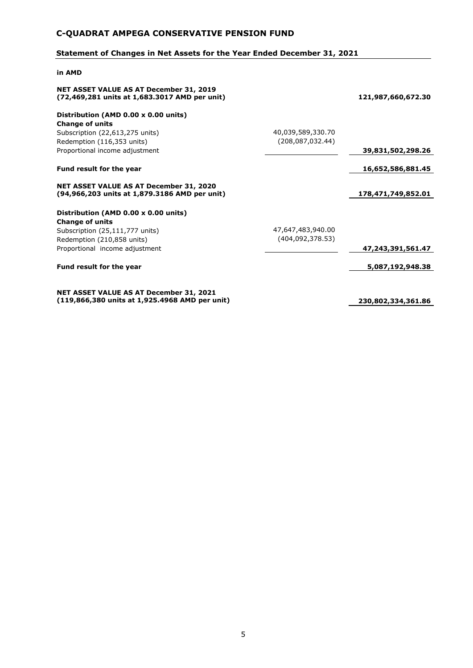#### <span id="page-6-0"></span>**Statement of Changes in Net Assets for the Year Ended December 31, 2021**

#### **in AMD**

| <b>NET ASSET VALUE AS AT December 31, 2019</b><br>(72,469,281 units at 1,683.3017 AMD per unit)                                                                   |                                         | 121,987,660,672.30 |
|-------------------------------------------------------------------------------------------------------------------------------------------------------------------|-----------------------------------------|--------------------|
| Distribution (AMD 0.00 x 0.00 units)<br><b>Change of units</b><br>Subscription (22,613,275 units)<br>Redemption (116,353 units)<br>Proportional income adjustment | 40,039,589,330.70<br>(208,087,032.44)   | 39,831,502,298.26  |
| Fund result for the year<br>NET ASSET VALUE AS AT December 31, 2020                                                                                               |                                         | 16,652,586,881.45  |
| (94,966,203 units at 1,879.3186 AMD per unit)<br>Distribution (AMD 0.00 x 0.00 units)<br><b>Change of units</b>                                                   |                                         | 178,471,749,852.01 |
| Subscription (25,111,777 units)<br>Redemption (210,858 units)<br>Proportional income adjustment                                                                   | 47,647,483,940.00<br>(404, 092, 378.53) | 47,243,391,561.47  |
| Fund result for the year<br><b>NET ASSET VALUE AS AT December 31, 2021</b>                                                                                        |                                         | 5,087,192,948.38   |
|                                                                                                                                                                   |                                         |                    |

**(119,866,380 units at 1,925.4968 AMD per unit) 230,802,334,361.86**

5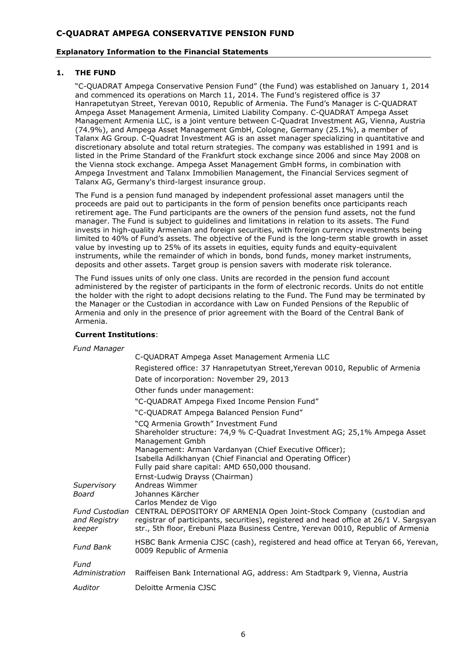#### **Explanatory Information to the Financial Statements**

#### <span id="page-7-0"></span>**1. THE FUND**

"C-QUADRAT Ampega Conservative Pension Fund" (the Fund) was established on January 1, 2014 and commenced its operations on March 11, 2014. The Fund's registered office is 37 Hanrapetutyan Street, Yerevan 0010, Republic of Armenia. The Fund's Manager is C-QUADRAT Ampega Asset Management Armenia, Limited Liability Company. C-QUADRAT Ampega Asset Management Armenia LLC, is a joint venture between C-Quadrat Investment AG, Vienna, Austria (74.9%), and Ampega Asset Management GmbH, Cologne, Germany (25.1%), a member of Talanx AG Group. C-Quadrat Investment AG is an asset manager specializing in quantitative and discretionary absolute and total return strategies. The company was established in 1991 and is listed in the Prime Standard of the Frankfurt stock exchange since 2006 and since May 2008 on the Vienna stock exchange. Ampega Asset Management GmbH forms, in combination with Ampega Investment and Talanx Immobilien Management, the Financial Services segment of Talanx AG, Germany's third-largest insurance group.

The Fund is a pension fund managed by independent professional asset managers until the proceeds are paid out to participants in the form of pension benefits once participants reach retirement age. The Fund participants are the owners of the pension fund assets, not the fund manager. The Fund is subject to guidelines and limitations in relation to its assets. The Fund invests in high-quality Armenian and foreign securities, with foreign currency investments being limited to 40% of Fund's assets. The objective of the Fund is the long-term stable growth in asset value by investing up to 25% of its assets in equities, equity funds and equity-equivalent instruments, while the remainder of which in bonds, bond funds, money market instruments, deposits and other assets. Target group is pension savers with moderate risk tolerance.

The Fund issues units of only one class. Units are recorded in the pension fund account administered by the register of participants in the form of electronic records. Units do not entitle the holder with the right to adopt decisions relating to the Fund. The Fund may be terminated by the Manager or the Custodian in accordance with Law on Funded Pensions of the Republic of Armenia and only in the presence of prior agreement with the Board of the Central Bank of Armenia.

#### **Current Institutions**:

| <b>Fund Manager</b>                             |                                                                                                                                                                                                                                                      |
|-------------------------------------------------|------------------------------------------------------------------------------------------------------------------------------------------------------------------------------------------------------------------------------------------------------|
|                                                 | C-QUADRAT Ampega Asset Management Armenia LLC                                                                                                                                                                                                        |
|                                                 | Registered office: 37 Hanrapetutyan Street, Yerevan 0010, Republic of Armenia                                                                                                                                                                        |
|                                                 | Date of incorporation: November 29, 2013                                                                                                                                                                                                             |
|                                                 | Other funds under management:                                                                                                                                                                                                                        |
|                                                 | "C-QUADRAT Ampega Fixed Income Pension Fund"                                                                                                                                                                                                         |
|                                                 | "C-QUADRAT Ampega Balanced Pension Fund"                                                                                                                                                                                                             |
|                                                 | "CQ Armenia Growth" Investment Fund                                                                                                                                                                                                                  |
|                                                 | Shareholder structure: 74,9 % C-Quadrat Investment AG; 25,1% Ampega Asset<br>Management Gmbh                                                                                                                                                         |
|                                                 | Management: Arman Vardanyan (Chief Executive Officer);                                                                                                                                                                                               |
|                                                 | Isabella Adilkhanyan (Chief Financial and Operating Officer)                                                                                                                                                                                         |
|                                                 | Fully paid share capital: AMD 650,000 thousand.                                                                                                                                                                                                      |
|                                                 | Ernst-Ludwig Drayss (Chairman)                                                                                                                                                                                                                       |
| Supervisory<br>Board                            | Andreas Wimmer<br>Johannes Kärcher                                                                                                                                                                                                                   |
|                                                 | Carlos Mendez de Vigo                                                                                                                                                                                                                                |
| <b>Fund Custodian</b><br>and Registry<br>keeper | CENTRAL DEPOSITORY OF ARMENIA Open Joint-Stock Company (custodian and<br>registrar of participants, securities), registered and head office at 26/1 V. Sargsyan<br>str., 5th floor, Erebuni Plaza Business Centre, Yerevan 0010, Republic of Armenia |
| Fund Bank                                       | HSBC Bank Armenia CJSC (cash), registered and head office at Teryan 66, Yerevan,<br>0009 Republic of Armenia                                                                                                                                         |
| Fund<br>Administration                          | Raiffeisen Bank International AG, address: Am Stadtpark 9, Vienna, Austria                                                                                                                                                                           |
| Auditor                                         | Deloitte Armenia CJSC                                                                                                                                                                                                                                |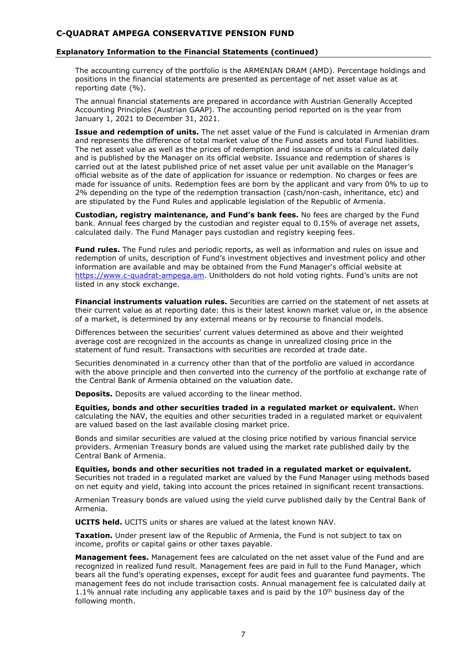#### **Explanatory Information to the Financial Statements (continued)**

The accounting currency of the portfolio is the ARMENIAN DRAM (AMD). Percentage holdings and positions in the financial statements are presented as percentage of net asset value as at reporting date (%).

The annual financial statements are prepared in accordance with Austrian Generally Accepted Accounting Principles (Austrian GAAP). The accounting period reported on is the year from January 1, 2021 to December 31, 2021.

**Issue and redemption of units.** The net asset value of the Fund is calculated in Armenian dram and represents the difference of total market value of the Fund assets and total Fund liabilities. The net asset value as well as the prices of redemption and issuance of units is calculated daily and is published by the Manager on its official website. Issuance and redemption of shares is carried out at the latest published price of net asset value per unit available on the Manager's official website as of the date of application for issuance or redemption. No charges or fees are made for issuance of units. Redemption fees are born by the applicant and vary from 0% to up to 2% depending on the type of the redemption transaction (cash/non-cash, inheritance, etc) and are stipulated by the Fund Rules and applicable legislation of the Republic of Armenia.

**Custodian, registry maintenance, and Fund's bank fees.** No fees are charged by the Fund bank. Annual fees charged by the custodian and register equal to 0.15% of average net assets, calculated daily. The Fund Manager pays custodian and registry keeping fees.

**Fund rules.** The Fund rules and periodic reports, as well as information and rules on issue and redemption of units, description of Fund's investment objectives and investment policy and other information are available and may be obtained from the Fund Manager's official website at [https://www.c-quadrat-ampega.am.](https://www.c-quadrat-ampega.am/) Unitholders do not hold voting rights. Fund's units are not listed in any stock exchange.

**Financial instruments valuation rules.** Securities are carried on the statement of net assets at their current value as at reporting date: this is their latest known market value or, in the absence of a market, is determined by any external means or by recourse to financial models.

Differences between the securities' current values determined as above and their weighted average cost are recognized in the accounts as change in unrealized closing price in the statement of fund result. Transactions with securities are recorded at trade date.

Securities denominated in a currency other than that of the portfolio are valued in accordance with the above principle and then converted into the currency of the portfolio at exchange rate of the Central Bank of Armenia obtained on the valuation date.

**Deposits.** Deposits are valued according to the linear method.

**Equities, bonds and other securities traded in a regulated market or equivalent.** When calculating the NAV, the equities and other securities traded in a regulated market or equivalent are valued based on the last available closing market price.

Bonds and similar securities are valued at the closing price notified by various financial service providers. Armenian Treasury bonds are valued using the market rate published daily by the Central Bank of Armenia.

**Equities, bonds and other securities not traded in a regulated market or equivalent.**  Securities not traded in a regulated market are valued by the Fund Manager using methods based on net equity and yield, taking into account the prices retained in significant recent transactions.

Armenian Treasury bonds are valued using the yield curve published daily by the Central Bank of Armenia.

**UCITS held.** UCITS units or shares are valued at the latest known NAV.

**Taxation.** Under present law of the Republic of Armenia, the Fund is not subject to tax on income, profits or capital gains or other taxes payable.

**Management fees.** Management fees are calculated on the net asset value of the Fund and are recognized in realized fund result. Management fees are paid in full to the Fund Manager, which bears all the fund's operating expenses, except for audit fees and guarantee fund payments. The management fees do not include transaction costs. Annual management fee is calculated daily at 1.1% annual rate including any applicable taxes and is paid by the  $10<sup>th</sup>$  business day of the following month.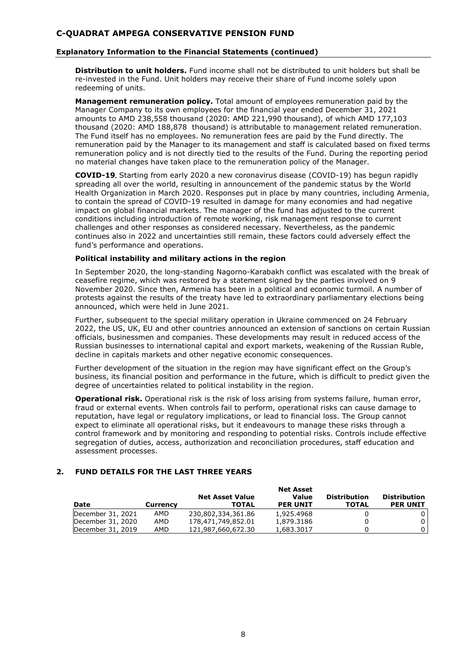#### **Explanatory Information to the Financial Statements (continued)**

**Distribution to unit holders.** Fund income shall not be distributed to unit holders but shall be re-invested in the Fund. Unit holders may receive their share of Fund income solely upon redeeming of units.

**Management remuneration policy.** Total amount of employees remuneration paid by the Manager Company to its own employees for the financial year ended December 31, 2021 amounts to AMD 238,558 thousand (2020: AMD 221,990 thousand), of which AMD 177,103 thousand (2020: AMD 188,878 thousand) is attributable to management related remuneration. The Fund itself has no employees. No remuneration fees are paid by the Fund directly. The remuneration paid by the Manager to its management and staff is calculated based on fixed terms remuneration policy and is not directly tied to the results of the Fund. During the reporting period no material changes have taken place to the remuneration policy of the Manager.

**COVID-19**․ Starting from early 2020 a new coronavirus disease (COVID-19) has begun rapidly spreading all over the world, resulting in announcement of the pandemic status by the World Health Organization in March 2020. Responses put in place by many countries, including Armenia, to contain the spread of COVID-19 resulted in damage for many economies and had negative impact on global financial markets. The manager of the fund has adjusted to the current conditions including introduction of remote working, risk management response to current challenges and other responses as considered necessary. Nevertheless, as the pandemic continues also in 2022 and uncertainties still remain, these factors could adversely effect the fund's performance and operations.

#### **Political instability and military actions in the region**

In September 2020, the long-standing Nagorno-Karabakh conflict was escalated with the break of ceasefire regime, which was restored by a statement signed by the parties involved on 9 November 2020. Since then, Armenia has been in a political and economic turmoil. A number of protests against the results of the treaty have led to extraordinary parliamentary elections being announced, which were held in June 2021.

Further, subsequent to the special military operation in Ukraine commenced on 24 February 2022, the US, UK, EU and other countries announced an extension of sanctions on certain Russian officials, businessmen and companies. These developments may result in reduced access of the Russian businesses to international capital and export markets, weakening of the Russian Ruble, decline in capitals markets and other negative economic consequences.

Further development of the situation in the region may have significant effect on the Group's business, its financial position and performance in the future, which is difficult to predict given the degree of uncertainties related to political instability in the region.

**Operational risk.** Operational risk is the risk of loss arising from systems failure, human error, fraud or external events. When controls fail to perform, operational risks can cause damage to reputation, have legal or regulatory implications, or lead to financial loss. The Group cannot expect to eliminate all operational risks, but it endeavours to manage these risks through a control framework and by monitoring and responding to potential risks. Controls include effective segregation of duties, access, authorization and reconciliation procedures, staff education and assessment processes.

#### <span id="page-9-0"></span>**2. FUND DETAILS FOR THE LAST THREE YEARS**

| Date              | <b>Currency</b> | <b>Net Asset Value</b><br><b>TOTAL</b> | <b>Net Asset</b><br>Value<br><b>PER UNIT</b> | <b>Distribution</b><br><b>TOTAL</b> | <b>Distribution</b><br><b>PER UNIT</b> |
|-------------------|-----------------|----------------------------------------|----------------------------------------------|-------------------------------------|----------------------------------------|
| December 31, 2021 | AMD             | 230,802,334,361.86                     | 1,925,4968                                   |                                     | 0                                      |
| December 31, 2020 | AMD             | 178,471,749,852.01                     | 1,879.3186                                   |                                     | 0                                      |
| December 31, 2019 | AMD             | 121,987,660,672,30                     | 1,683,3017                                   |                                     | 0                                      |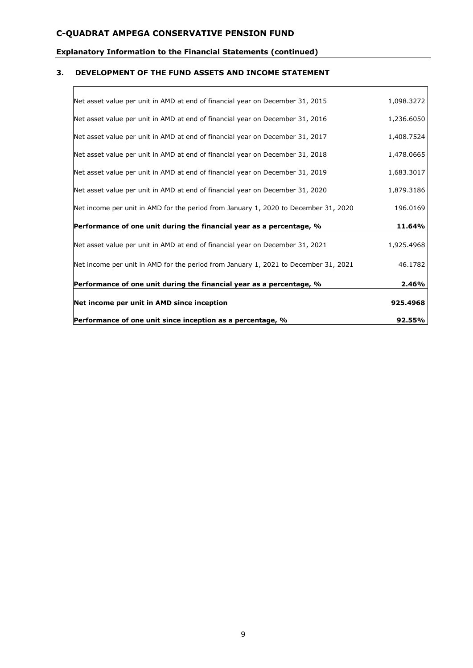# **Explanatory Information to the Financial Statements (continued)**

#### <span id="page-10-0"></span>**3. DEVELOPMENT OF THE FUND ASSETS AND INCOME STATEMENT**

| Net asset value per unit in AMD at end of financial year on December 31, 2015       | 1,098.3272 |
|-------------------------------------------------------------------------------------|------------|
| Net asset value per unit in AMD at end of financial year on December 31, 2016       | 1,236.6050 |
| Net asset value per unit in AMD at end of financial year on December 31, 2017       | 1,408.7524 |
| Net asset value per unit in AMD at end of financial year on December 31, 2018       | 1,478.0665 |
| Net asset value per unit in AMD at end of financial year on December 31, 2019       | 1,683.3017 |
| Net asset value per unit in AMD at end of financial year on December 31, 2020       | 1,879.3186 |
| Net income per unit in AMD for the period from January 1, 2020 to December 31, 2020 | 196.0169   |
| Performance of one unit during the financial year as a percentage, %                | 11.64%     |
| Net asset value per unit in AMD at end of financial year on December 31, 2021       | 1,925.4968 |
| Net income per unit in AMD for the period from January 1, 2021 to December 31, 2021 | 46.1782    |
| Performance of one unit during the financial year as a percentage, %                | 2.46%      |
| Net income per unit in AMD since inception                                          | 925.4968   |
| Performance of one unit since inception as a percentage, %                          | 92.55%     |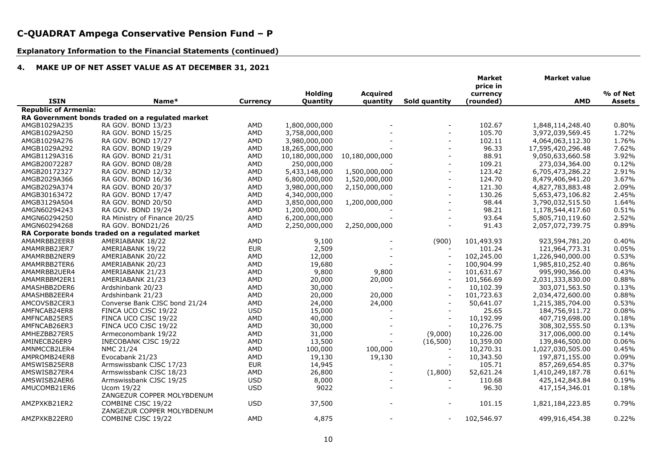# **C-QUADRAT Ampega Conservative Pension Fund – P**

#### **Explanatory Information to the Financial Statements (continued)**

#### **4. MAKE UP OF NET ASSET VALUE AS AT DECEMBER 31, 2021**

<span id="page-11-0"></span>

|                             |                                                  |                 |                            |                             |                          | <b>Market</b><br>price in | <b>Market value</b> |                           |
|-----------------------------|--------------------------------------------------|-----------------|----------------------------|-----------------------------|--------------------------|---------------------------|---------------------|---------------------------|
| <b>ISIN</b>                 | Name*                                            | <b>Currency</b> | <b>Holding</b><br>Quantity | <b>Acquired</b><br>quantity | <b>Sold quantity</b>     | currency<br>(rounded)     | <b>AMD</b>          | % of Net<br><b>Assets</b> |
| <b>Republic of Armenia:</b> |                                                  |                 |                            |                             |                          |                           |                     |                           |
|                             | RA Government bonds traded on a regulated market |                 |                            |                             |                          |                           |                     |                           |
| AMGB1029A235                | RA GOV. BOND 13/23                               | AMD             | 1,800,000,000              |                             |                          | 102.67                    | 1,848,114,248.40    | 0.80%                     |
| AMGB1029A250                | RA GOV. BOND 15/25                               | AMD             | 3,758,000,000              |                             |                          | 105.70                    | 3,972,039,569.45    | 1.72%                     |
| AMGB1029A276                | RA GOV. BOND 17/27                               | AMD             | 3,980,000,000              |                             |                          | 102.11                    | 4,064,063,112.30    | 1.76%                     |
| AMGB1029A292                | RA GOV. BOND 19/29                               | AMD             | 18,265,000,000             |                             |                          | 96.33                     | 17,595,420,296.48   | 7.62%                     |
| AMGB1129A316                | RA GOV. BOND 21/31                               | AMD             | 10,180,000,000             | 10,180,000,000              | $\blacksquare$           | 88.91                     | 9,050,633,660.58    | 3.92%                     |
| AMGB20072287                | RA GOV. BOND 08/28                               | AMD             | 250,000,000                |                             |                          | 109.21                    | 273,034,364.00      | 0.12%                     |
| AMGB20172327                | RA GOV. BOND 12/32                               | AMD             | 5,433,148,000              | 1,500,000,000               |                          | 123.42                    | 6,705,473,286.22    | 2.91%                     |
| AMGB2029A366                | RA GOV. BOND 16/36                               | AMD             | 6,800,000,000              | 1,520,000,000               | $\blacksquare$           | 124.70                    | 8,479,406,941.20    | 3.67%                     |
| AMGB2029A374                | RA GOV. BOND 20/37                               | AMD             | 3,980,000,000              | 2,150,000,000               |                          | 121.30                    | 4,827,783,883.48    | 2.09%                     |
| AMGB30163472                | RA GOV. BOND 17/47                               | AMD             | 4,340,000,000              |                             |                          | 130.26                    | 5,653,473,106.82    | 2.45%                     |
| AMGB3129A504                | RA GOV. BOND 20/50                               | AMD             | 3,850,000,000              | 1,200,000,000               | $\overline{\phantom{a}}$ | 98.44                     | 3,790,032,515.50    | 1.64%                     |
| AMGN60294243                | RA GOV. BOND 19/24                               | AMD             | 1,200,000,000              |                             |                          | 98.21                     | 1,178,544,417.60    | 0.51%                     |
| AMGN60294250                | RA Ministry of Finance 20/25                     | AMD             | 6,200,000,000              |                             | $\sim$                   | 93.64                     | 5,805,710,119.60    | 2.52%                     |
| AMGN60294268                | RA GOV. BOND21/26                                | AMD             | 2,250,000,000              | 2,250,000,000               |                          | 91.43                     | 2,057,072,739.75    | 0.89%                     |
|                             | RA Corporate bonds traded on a regulated market  |                 |                            |                             |                          |                           |                     |                           |
| AMAMRBB2EER8                | AMERIABANK 18/22                                 | AMD             | 9,100                      |                             | (900)                    | 101,493.93                | 923,594,781.20      | 0.40%                     |
| AMAMRBB2JER7                | AMERIABANK 19/22                                 | <b>EUR</b>      | 2,509                      |                             |                          | 101.24                    | 121,964,773.31      | 0.05%                     |
| AMAMRBB2NER9                | AMERIABANK 20/22                                 | AMD             | 12,000                     |                             |                          | 102,245.00                | 1,226,940,000.00    | 0.53%                     |
| AMAMRBB2TER6                | AMERIABANK 20/23                                 | AMD             | 19,680                     |                             |                          | 100,904.99                | 1,985,810,252.40    | 0.86%                     |
| AMAMRBB2UER4                | AMERIABANK 21/23                                 | AMD             | 9,800                      | 9,800                       |                          | 101,631.67                | 995,990,366.00      | 0.43%                     |
| AMAMRBBM2ER1                | AMERIABANK 21/23                                 | AMD             | 20,000                     | 20,000                      |                          | 101,566.69                | 2,031,333,830.00    | 0.88%                     |
| AMASHBB2DER6                | Ardshinbank 20/23                                | AMD             | 30,000                     |                             |                          | 10,102.39                 | 303,071,563.50      | 0.13%                     |
| AMASHBB2EER4                | Ardshinbank 21/23                                | AMD             | 20,000                     | 20,000                      |                          | 101,723.63                | 2,034,472,600.00    | 0.88%                     |
| AMCOVSB2CER3                | Converse Bank CJSC bond 21/24                    | AMD             | 24,000                     | 24,000                      |                          | 50,641.07                 | 1,215,385,704.00    | 0.53%                     |
| AMFNCAB24ER8                | FINCA UCO CJSC 19/22                             | <b>USD</b>      | 15,000                     |                             |                          | 25.65                     | 184,756,911.72      | 0.08%                     |
| AMFNCAB25ER5                | FINCA UCO CJSC 19/22                             | AMD             | 40,000                     |                             |                          | 10,192.99                 | 407,719,698.00      | 0.18%                     |
| AMFNCAB26ER3                | FINCA UCO CJSC 19/22                             | AMD             | 30,000                     |                             |                          | 10,276.75                 | 308,302,555.50      | 0.13%                     |
| AMHEZBB27ER5                | Armeconombank 19/22                              | AMD             | 31,000                     |                             | (9,000)                  | 10,226.00                 | 317,006,000.00      | 0.14%                     |
| AMINECB26ER9                | INECOBANK CJSC 19/22                             | AMD             | 13,500                     |                             | (16, 500)                | 10,359.00                 | 139,846,500.00      | 0.06%                     |
| AMNMCCB2LER4                | NMC 21/24                                        | AMD             | 100,000                    | 100,000                     |                          | 10,270.31                 | 1,027,030,505.00    | 0.45%                     |
| AMPROMB24ER8                | Evocabank 21/23                                  | AMD             | 19,130                     | 19,130                      |                          | 10,343.50                 | 197,871,155.00      | 0.09%                     |
| AMSWISB25ER8                | Armswissbank CJSC 17/23                          | <b>EUR</b>      | 14,945                     |                             |                          | 105.71                    | 857,269,654.85      | 0.37%                     |
| AMSWISB27ER4                | Armswissbank CJSC 18/23                          | AMD             | 26,800                     |                             | (1,800)                  | 52,621.24                 | 1,410,249,187.78    | 0.61%                     |
| AMSWISB2AER6                | Armswissbank CJSC 19/25                          | <b>USD</b>      | 8,000                      |                             |                          | 110.68                    | 425,142,843.84      | 0.19%                     |
| AMUCOMB21ER6                | Ucom 19/22<br>ZANGEZUR COPPER MOLYBDENUM         | <b>USD</b>      | 9022                       |                             |                          | 96.30                     | 417,154,346.01      | 0.18%                     |
| AMZPXKB21ER2                | COMBINE CJSC 19/22<br>ZANGEZUR COPPER MOLYBDENUM | <b>USD</b>      | 37,500                     |                             | $\overline{\phantom{0}}$ | 101.15                    | 1,821,184,223.85    | 0.79%                     |
| AMZPXKB22ER0                | COMBINE CJSC 19/22                               | AMD             | 4,875                      |                             |                          | 102,546.97                | 499,916,454.38      | 0.22%                     |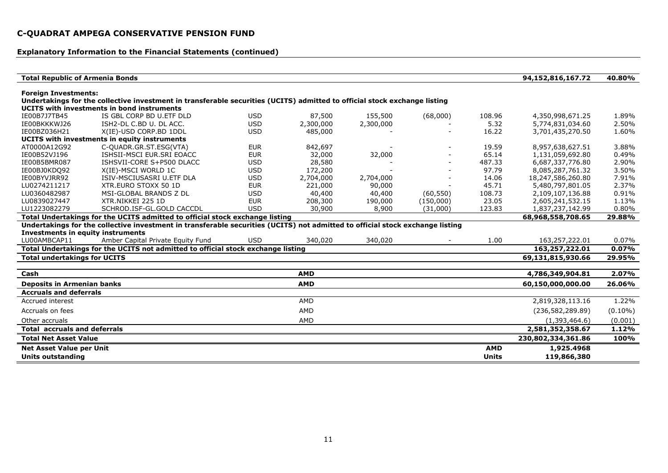#### **Explanatory Information to the Financial Statements (continued)**

| <b>Total Republic of Armenia Bonds</b>   |                                                                                                                               |            |            |           |           |              | 94,152,816,167.72  | 40.80%     |
|------------------------------------------|-------------------------------------------------------------------------------------------------------------------------------|------------|------------|-----------|-----------|--------------|--------------------|------------|
| <b>Foreign Investments:</b>              |                                                                                                                               |            |            |           |           |              |                    |            |
|                                          | Undertakings for the collective investment in transferable securities (UCITS) admitted to official stock exchange listing     |            |            |           |           |              |                    |            |
|                                          | <b>UCITS</b> with investments in bond instruments                                                                             |            |            |           |           |              |                    |            |
| IE00B7J7TB45                             | IS GBL CORP BD U.ETF DLD                                                                                                      | <b>USD</b> | 87,500     | 155,500   | (68,000)  | 108.96       | 4,350,998,671.25   | 1.89%      |
| IE00BKKKWJ26                             | ISH2-DL C.BD U. DL ACC.                                                                                                       | <b>USD</b> | 2,300,000  | 2,300,000 |           | 5.32         | 5,774,831,034.60   | 2.50%      |
| IE00BZ036H21                             | X(IE)-USD CORP.BD 1DDL                                                                                                        | <b>USD</b> | 485,000    |           |           | 16.22        | 3,701,435,270.50   | 1.60%      |
|                                          | <b>UCITS</b> with investments in equity instruments                                                                           |            |            |           |           |              |                    |            |
| AT0000A12G92                             | C-QUADR.GR.ST.ESG(VTA)                                                                                                        | <b>EUR</b> | 842,697    |           |           | 19.59        | 8,957,638,627.51   | 3.88%      |
| IE00B52VJ196                             | ISHSII-MSCI EUR.SRI EOACC                                                                                                     | <b>EUR</b> | 32,000     | 32,000    |           | 65.14        | 1,131,059,692.80   | 0.49%      |
| IE00B5BMR087                             | ISHSVII-CORE S+P500 DLACC                                                                                                     | <b>USD</b> | 28,580     |           |           | 487.33       | 6,687,337,776.80   | 2.90%      |
| IE00BJ0KDO92                             | X(IE)-MSCI WORLD 1C                                                                                                           | <b>USD</b> | 172,200    |           |           | 97.79        | 8,085,287,761.32   | 3.50%      |
| IE00BYVJRR92                             | ISIV-MSCIUSASRI U.ETF DLA                                                                                                     | <b>USD</b> | 2,704,000  | 2,704,000 |           | 14.06        | 18,247,586,260.80  | 7.91%      |
| LU0274211217                             | XTR.EURO STOXX 50 1D                                                                                                          | <b>EUR</b> | 221,000    | 90,000    |           | 45.71        | 5,480,797,801.05   | 2.37%      |
| LU0360482987                             | MSI-GLOBAL BRANDS Z DL                                                                                                        | <b>USD</b> | 40,400     | 40,400    | (60, 550) | 108.73       | 2,109,107,136.88   | 0.91%      |
| LU0839027447                             | XTR.NIKKEI 225 1D                                                                                                             | <b>EUR</b> | 208,300    | 190,000   | (150,000) | 23.05        | 2,605,241,532.15   | 1.13%      |
| LU1223082279                             | SCHROD.ISF-GL.GOLD CACCDL                                                                                                     | <b>USD</b> | 30,900     | 8,900     | (31,000)  | 123.83       | 1,837,237,142.99   | 0.80%      |
|                                          | Total Undertakings for the UCITS admitted to official stock exchange listing                                                  |            |            |           |           |              | 68,968,558,708.65  | 29.88%     |
|                                          | Undertakings for the collective investment in transferable securities (UCITS) not admitted to official stock exchange listing |            |            |           |           |              |                    |            |
| <b>Investments in equity instruments</b> |                                                                                                                               |            |            |           |           |              |                    |            |
| LU00AMBCAP11                             | Amber Capital Private Equity Fund                                                                                             | <b>USD</b> | 340,020    | 340,020   |           | 1.00         | 163,257,222.01     | $0.07\%$   |
|                                          | Total Undertakings for the UCITS not admitted to official stock exchange listing                                              |            |            |           |           |              | 163,257,222.01     | 0.07%      |
| <b>Total undertakings for UCITS</b>      |                                                                                                                               |            |            |           |           |              | 69,131,815,930.66  | 29.95%     |
|                                          |                                                                                                                               |            |            |           |           |              |                    |            |
| Cash                                     |                                                                                                                               |            | <b>AMD</b> |           |           |              | 4,786,349,904.81   | 2.07%      |
| <b>Deposits in Armenian banks</b>        |                                                                                                                               |            | <b>AMD</b> |           |           |              | 60,150,000,000.00  | 26.06%     |
| <b>Accruals and deferrals</b>            |                                                                                                                               |            |            |           |           |              |                    |            |
| Accrued interest                         |                                                                                                                               |            | <b>AMD</b> |           |           |              | 2,819,328,113.16   | 1.22%      |
| Accruals on fees                         |                                                                                                                               |            | AMD        |           |           |              | (236, 582, 289.89) | $(0.10\%)$ |
| Other accruals                           |                                                                                                                               |            | AMD        |           |           |              | (1,393,464.6)      | (0.001)    |
| <b>Total accruals and deferrals</b>      |                                                                                                                               |            |            |           |           |              | 2,581,352,358.67   | 1.12%      |
| <b>Total Net Asset Value</b>             |                                                                                                                               |            |            |           |           |              | 230,802,334,361.86 | 100%       |
| <b>Net Asset Value per Unit</b>          |                                                                                                                               |            |            |           |           | <b>AMD</b>   | 1,925.4968         |            |
| Units outstanding                        |                                                                                                                               |            |            |           |           | <b>Units</b> | 119,866,380        |            |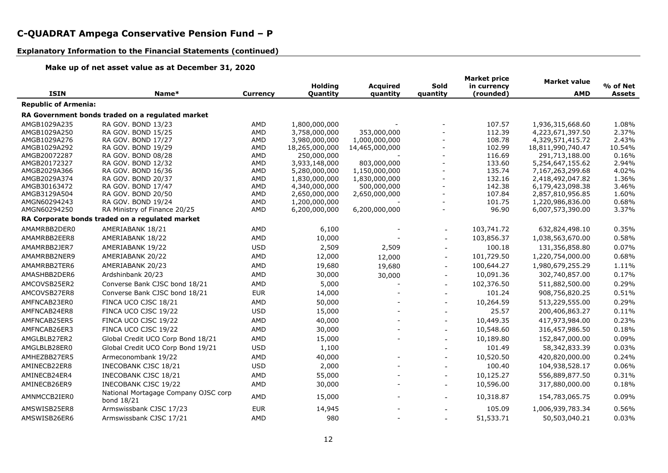# **C-QUADRAT Ampega Conservative Pension Fund – P**

#### **Explanatory Information to the Financial Statements (continued)**

#### **Make up of net asset value as at December 31, 2020**

|                              |                                                    |                 | <b>Holding</b>                 | <b>Acquired</b> | Sold                     | <b>Market price</b><br>in currency | <b>Market value</b>                  | % of Net       |
|------------------------------|----------------------------------------------------|-----------------|--------------------------------|-----------------|--------------------------|------------------------------------|--------------------------------------|----------------|
| <b>ISIN</b>                  | Name*                                              | <b>Currency</b> | Quantity                       | quantity        | quantity                 | (rounded)                          | <b>AMD</b>                           | <b>Assets</b>  |
| <b>Republic of Armenia:</b>  |                                                    |                 |                                |                 |                          |                                    |                                      |                |
|                              | RA Government bonds traded on a regulated market   |                 |                                |                 |                          |                                    |                                      |                |
| AMGB1029A235                 | RA GOV. BOND 13/23                                 | <b>AMD</b>      | 1,800,000,000                  |                 |                          | 107.57                             | 1,936,315,668.60                     | 1.08%          |
| AMGB1029A250                 | RA GOV. BOND 15/25                                 | AMD             | 3,758,000,000                  | 353,000,000     |                          | 112.39                             | 4,223,671,397.50                     | 2.37%          |
| AMGB1029A276                 | RA GOV. BOND 17/27                                 | AMD             | 3,980,000,000                  | 1,000,000,000   |                          | 108.78                             | 4,329,571,415.72                     | 2.43%          |
| AMGB1029A292                 | RA GOV. BOND 19/29                                 | AMD             | 18,265,000,000                 | 14,465,000,000  | $\sim$                   | 102.99                             | 18,811,990,740.47                    | 10.54%         |
| AMGB20072287                 | RA GOV. BOND 08/28                                 | AMD             | 250,000,000                    |                 |                          | 116.69                             | 291,713,188.00                       | 0.16%          |
| AMGB20172327                 | RA GOV. BOND 12/32                                 | AMD             | 3,933,148,000                  | 803,000,000     |                          | 133.60                             | 5,254,647,155.62                     | 2.94%          |
| AMGB2029A366                 | RA GOV. BOND 16/36                                 | AMD             | 5,280,000,000                  | 1,150,000,000   | $\blacksquare$           | 135.74                             | 7,167,263,299.68                     | 4.02%          |
| AMGB2029A374                 | RA GOV. BOND 20/37                                 | AMD             | 1,830,000,000                  | 1,830,000,000   | $\overline{\phantom{a}}$ | 132.16                             | 2,418,492,047.82                     | 1.36%          |
| AMGB30163472<br>AMGB3129A504 | RA GOV. BOND 17/47<br>RA GOV. BOND 20/50           | AMD<br>AMD      | 4,340,000,000                  | 500,000,000     | $\blacksquare$           | 142.38<br>107.84                   | 6,179,423,098.38                     | 3.46%<br>1.60% |
| AMGN60294243                 | RA GOV. BOND 19/24                                 | AMD             | 2,650,000,000<br>1,200,000,000 | 2,650,000,000   |                          | 101.75                             | 2,857,810,956.85<br>1,220,986,836.00 | 0.68%          |
| AMGN60294250                 | RA Ministry of Finance 20/25                       | AMD             | 6,200,000,000                  | 6,200,000,000   |                          | 96.90                              | 6,007,573,390.00                     | 3.37%          |
|                              | RA Corporate bonds traded on a regulated market    |                 |                                |                 |                          |                                    |                                      |                |
| AMAMRBB2DER0                 | AMERIABANK 18/21                                   | <b>AMD</b>      | 6,100                          |                 | $\blacksquare$           | 103,741.72                         | 632,824,498.10                       | 0.35%          |
| AMAMRBB2EER8                 | AMERIABANK 18/22                                   | AMD             | 10,000                         |                 | $\blacksquare$           | 103,856.37                         | 1,038,563,670.00                     | 0.58%          |
| AMAMRBB2JER7                 | AMERIABANK 19/22                                   | <b>USD</b>      | 2,509                          | 2,509           |                          | 100.18                             | 131,356,858.80                       | 0.07%          |
|                              |                                                    |                 |                                |                 |                          |                                    |                                      |                |
| AMAMRBB2NER9                 | AMERIABANK 20/22                                   | AMD             | 12,000                         | 12,000          | $\blacksquare$           | 101,729.50                         | 1,220,754,000.00                     | 0.68%          |
| AMAMRBB2TER6                 | AMERIABANK 20/23                                   | AMD             | 19,680                         | 19,680          | $\sim$                   | 100,644.27                         | 1,980,679,255.29                     | 1.11%          |
| AMASHBB2DER6                 | Ardshinbank 20/23                                  | AMD             | 30,000                         | 30,000          | $\blacksquare$           | 10,091.36                          | 302,740,857.00                       | 0.17%          |
| AMCOVSB25ER2                 | Converse Bank CJSC bond 18/21                      | AMD             | 5,000                          |                 | $\sim$                   | 102,376.50                         | 511,882,500.00                       | 0.29%          |
| AMCOVSB27ER8                 | Converse Bank CJSC bond 18/21                      | <b>EUR</b>      | 14,000                         |                 | $\overline{a}$           | 101.24                             | 908,756,820.25                       | 0.51%          |
| AMFNCAB23ER0                 | FINCA UCO CJSC 18/21                               | AMD             | 50,000                         |                 | $\overline{a}$           | 10,264.59                          | 513,229,555.00                       | 0.29%          |
| AMFNCAB24ER8                 | FINCA UCO CJSC 19/22                               | <b>USD</b>      | 15,000                         |                 | $\blacksquare$           | 25.57                              | 200,406,863.27                       | 0.11%          |
| AMFNCAB25ER5                 | FINCA UCO CJSC 19/22                               | AMD             | 40,000                         |                 | $\overline{a}$           | 10,449.35                          | 417,973,984.00                       | 0.23%          |
| AMFNCAB26ER3                 | FINCA UCO CJSC 19/22                               | AMD             | 30,000                         |                 | $\blacksquare$           | 10,548.60                          | 316,457,986.50                       | 0.18%          |
| AMGLBLB27ER2                 | Global Credit UCO Corp Bond 18/21                  | AMD             | 15,000                         |                 | $\overline{a}$           | 10,189.80                          | 152,847,000.00                       | 0.09%          |
| AMGLBLB28ER0                 | Global Credit UCO Corp Bond 19/21                  | <b>USD</b>      | 1,100                          |                 |                          | 101.49                             | 58,342,833.39                        | 0.03%          |
| AMHEZBB27ER5                 | Armeconombank 19/22                                | AMD             | 40,000                         |                 | $\overline{a}$           | 10,520.50                          | 420,820,000.00                       | 0.24%          |
| AMINECB22ER8                 | INECOBANK CJSC 18/21                               | <b>USD</b>      | 2,000                          |                 | $\overline{a}$           | 100.40                             | 104,938,528.17                       | 0.06%          |
| AMINECB24ER4                 | INECOBANK CJSC 18/21                               | <b>AMD</b>      | 55,000                         |                 | $\overline{a}$           | 10,125.27                          | 556,889,877.50                       | 0.31%          |
| AMINECB26ER9                 | INECOBANK CJSC 19/22                               | AMD             | 30,000                         |                 | $\overline{a}$           | 10,596.00                          | 317,880,000.00                       | 0.18%          |
| AMNMCCB2IER0                 | National Mortagage Company OJSC corp<br>bond 18/21 | AMD             | 15,000                         |                 | $\blacksquare$           | 10,318.87                          | 154,783,065.75                       | 0.09%          |
| AMSWISB25ER8                 | Armswissbank CJSC 17/23                            | <b>EUR</b>      | 14,945                         |                 |                          | 105.09                             | 1,006,939,783.34                     | 0.56%          |
| AMSWISB26ER6                 | Armswissbank CJSC 17/21                            | AMD             | 980                            |                 |                          | 51,533.71                          | 50,503,040.21                        | 0.03%          |